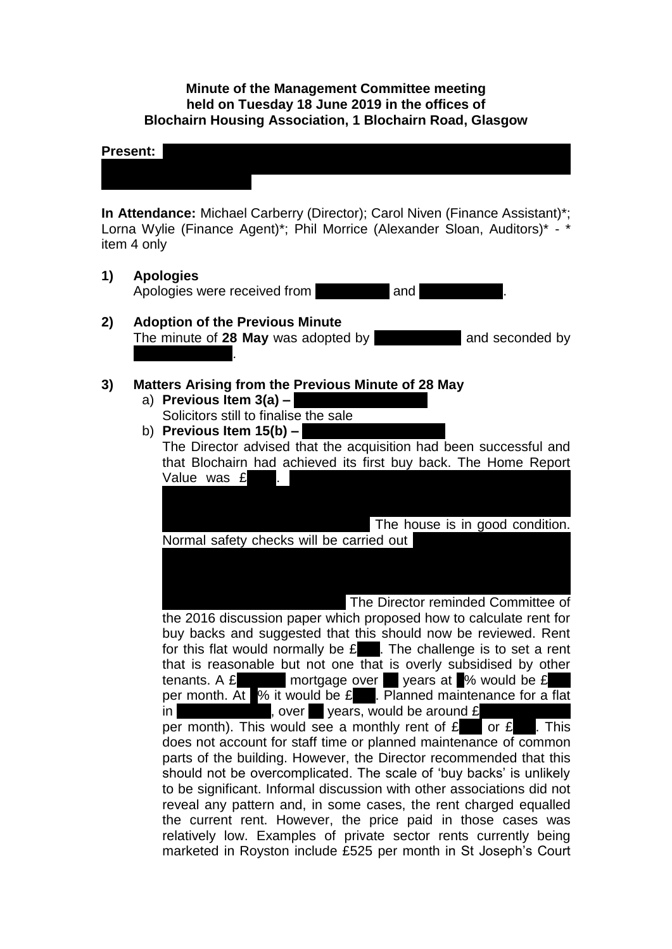### **Minute of the Management Committee meeting held on Tuesday 18 June 2019 in the offices of Blochairn Housing Association, 1 Blochairn Road, Glasgow**

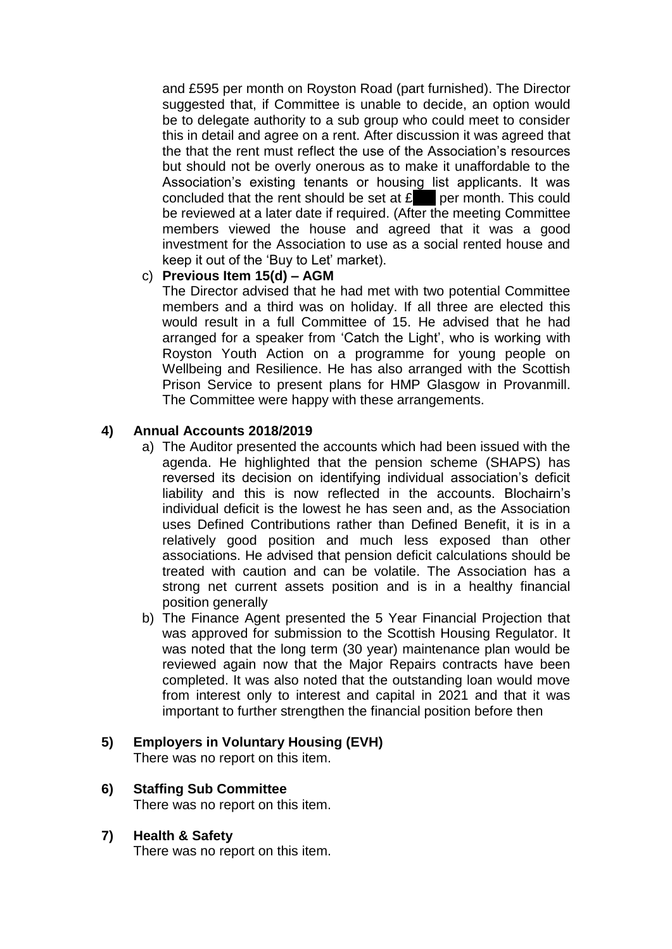and £595 per month on Royston Road (part furnished). The Director suggested that, if Committee is unable to decide, an option would be to delegate authority to a sub group who could meet to consider this in detail and agree on a rent. After discussion it was agreed that the that the rent must reflect the use of the Association's resources but should not be overly onerous as to make it unaffordable to the Association's existing tenants or housing list applicants. It was concluded that the rent should be set at  $f_{\text{max}}$  per month. This could be reviewed at a later date if required. (After the meeting Committee members viewed the house and agreed that it was a good investment for the Association to use as a social rented house and keep it out of the 'Buy to Let' market).

# c) **Previous Item 15(d) – AGM**

The Director advised that he had met with two potential Committee members and a third was on holiday. If all three are elected this would result in a full Committee of 15. He advised that he had arranged for a speaker from 'Catch the Light', who is working with Royston Youth Action on a programme for young people on Wellbeing and Resilience. He has also arranged with the Scottish Prison Service to present plans for HMP Glasgow in Provanmill. The Committee were happy with these arrangements.

# **4) Annual Accounts 2018/2019**

- a) The Auditor presented the accounts which had been issued with the agenda. He highlighted that the pension scheme (SHAPS) has reversed its decision on identifying individual association's deficit liability and this is now reflected in the accounts. Blochairn's individual deficit is the lowest he has seen and, as the Association uses Defined Contributions rather than Defined Benefit, it is in a relatively good position and much less exposed than other associations. He advised that pension deficit calculations should be treated with caution and can be volatile. The Association has a strong net current assets position and is in a healthy financial position generally
- b) The Finance Agent presented the 5 Year Financial Projection that was approved for submission to the Scottish Housing Regulator. It was noted that the long term (30 year) maintenance plan would be reviewed again now that the Major Repairs contracts have been completed. It was also noted that the outstanding loan would move from interest only to interest and capital in 2021 and that it was important to further strengthen the financial position before then

#### **5) Employers in Voluntary Housing (EVH)** There was no report on this item.

- **6) Staffing Sub Committee**  There was no report on this item.
- **7) Health & Safety**

There was no report on this item.